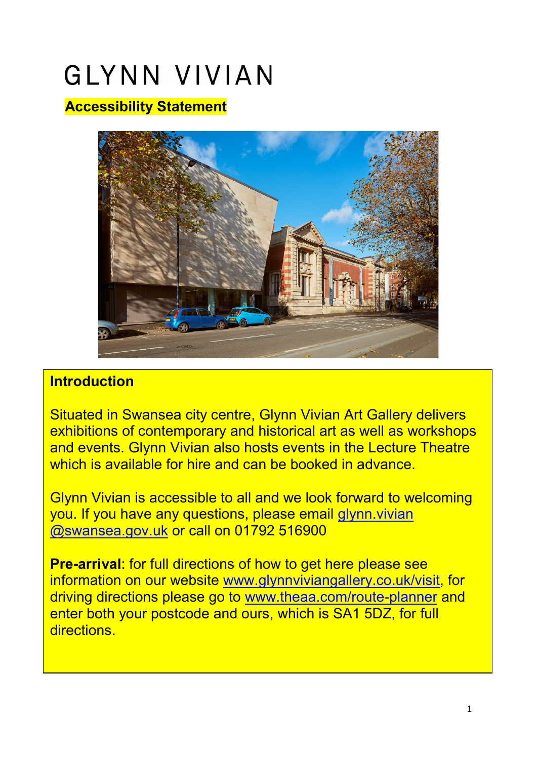# **GLYNN VIVIAN**

## **Accessibility Statement**



#### **Introduction**

Situated in Swansea city centre, Glynn Vivian Art Gallery delivers exhibitions of contemporary and historical art as well as workshops and events. Glynn Vivian also hosts events in the Lecture Theatre which is available for hire and can be booked in advance

Glynn Vivian is accessible to all and we look forward to welcoming you. If you have any questions, please email [glynn.vivian](mailto:glynn.vivian.gallery@swansea.gov.uk)  [@swansea.gov.uk](mailto:glynn.vivian.gallery@swansea.gov.uk) or call on 01792 516900

information on our website <u>www.glynnviviangallery.co.uk/visit,</u> for driving directions please go to <u>www.theaa.com/route-planner</u> and enter both your postcode and ours, which is SA1 5DZ, for full **Pre-arrival**: for full directions of how to get here please see directions.

Alexandra Road from Swansea High Street Station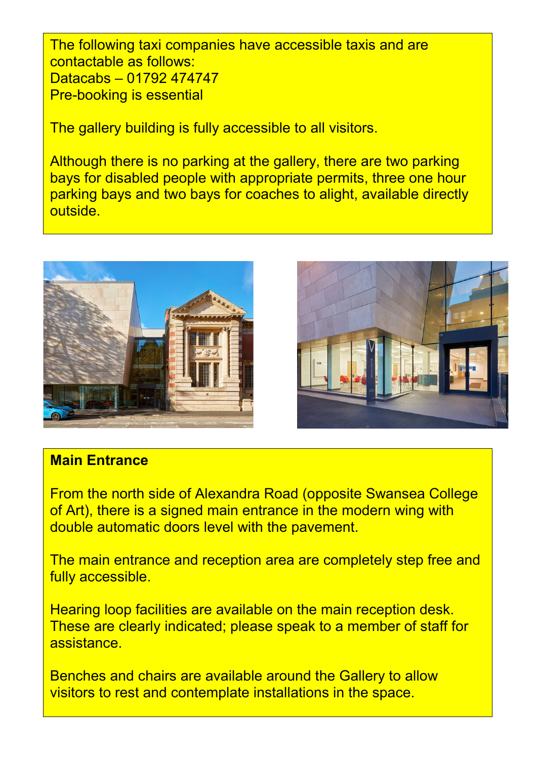The following taxi companies have accessible taxis and are contactable as follows: Datacabs – 01792 474747 Pre-booking is essential

The gallery building is fully accessible to all visitors.

Although there is no parking at the gallery, there are two parking bays for disabled people with appropriate permits, three one hour parking bays and two bays for coaches to alight, available directly outside.





#### **Main Entrance**

From the north side of Alexandra Road (opposite Swansea College of Art), there is a signed main entrance in the modern wing with double automatic doors level with the pavement.

The main entrance and reception area are completely step free and fully accessible.

Hearing loop facilities are available on the main reception desk. These are clearly indicated; please speak to a member of staff for assistance.

Benches and chairs are available around the Gallery to allow visitors to rest and contemplate installations in the space.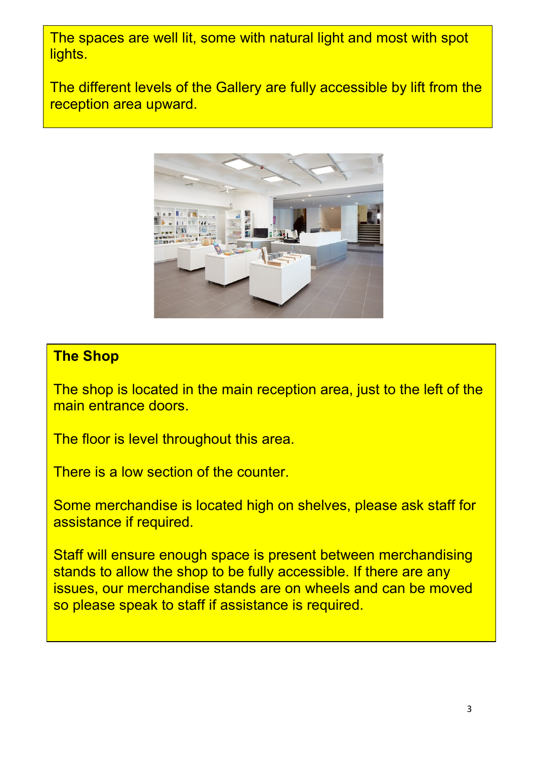The spaces are well lit, some with natural light and most with spot lights.

The different levels of the Gallery are fully accessible by lift from the reception area upward.



## **The Shop**

The shop is located in the main reception area, just to the left of the main entrance doors.

The floor is level throughout this area.

There is a low section of the counter.

Some merchandise is located high on shelves, please ask staff for assistance if required.

Staff will ensure enough space is present between merchandising stands to allow the shop to be fully accessible. If there are any issues, our merchandise stands are on wheels and can be moved so please speak to staff if assistance is required.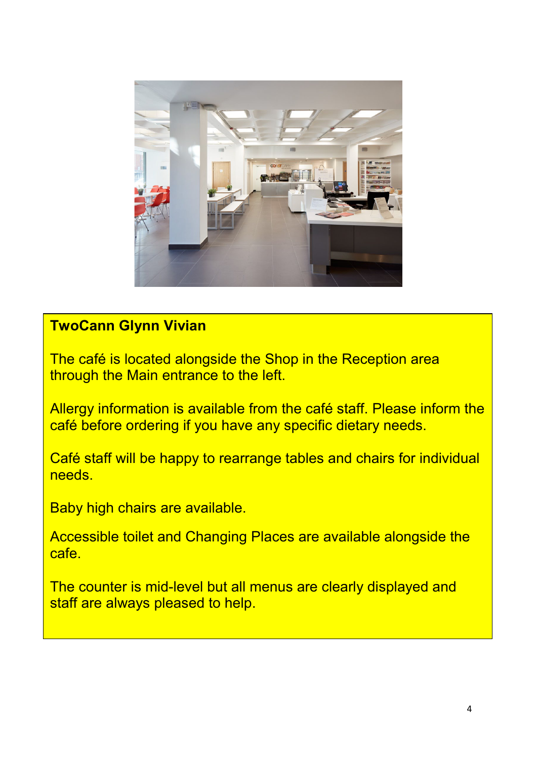

## **TwoCann Glynn Vivian**

The café is located alongside the Shop in the Reception area through the Main entrance to the left.

Allergy information is available from the café staff. Please inform the café before ordering if you have any specific dietary needs.

Café staff will be happy to rearrange tables and chairs for individual needs.

Baby high chairs are available.

Accessible toilet and Changing Places are available alongside the cafe.

The counter is mid-level but all menus are clearly displayed and staff are always pleased to help.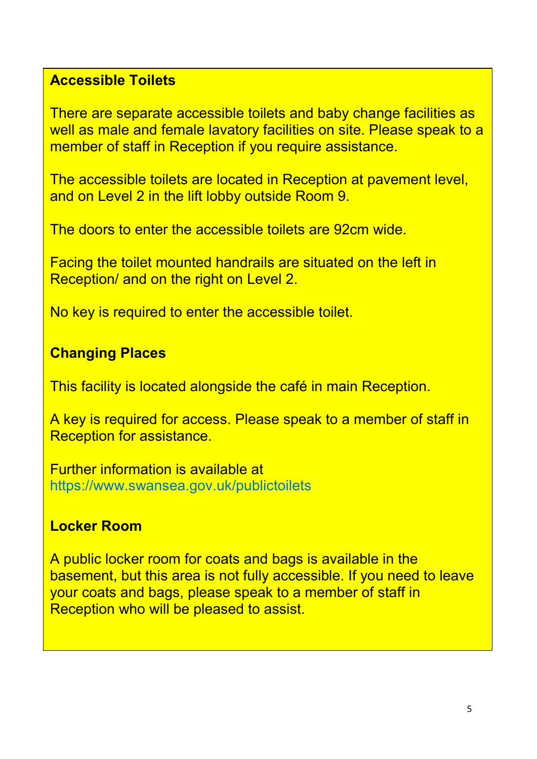#### **Accessible Toilets**

There are separate accessible toilets and baby change facilities as well as male and female lavatory facilities on site. Please speak to a member of staff in Reception if you require assistance.

The accessible toilets are located in Reception at pavement level, and on Level 2 in the lift lobby outside Room 9.

The doors to enter the accessible toilets are 92cm wide.

Facing the toilet mounted handrails are situated on the left in Reception/ and on the right on Level 2.

No key is required to enter the accessible toilet.

## **Changing Places**

This facility is located alongside the café in main Reception.

A key is required for access. Please speak to a member of staff in Reception for assistance.

Further information is available at https://www.swansea.gov.uk/publictoilets

## **Locker Room**

A public locker room for coats and bags is available in the basement, but this area is not fully accessible. If you need to leave your coats and bags, please speak to a member of staff in Reception who will be pleased to assist.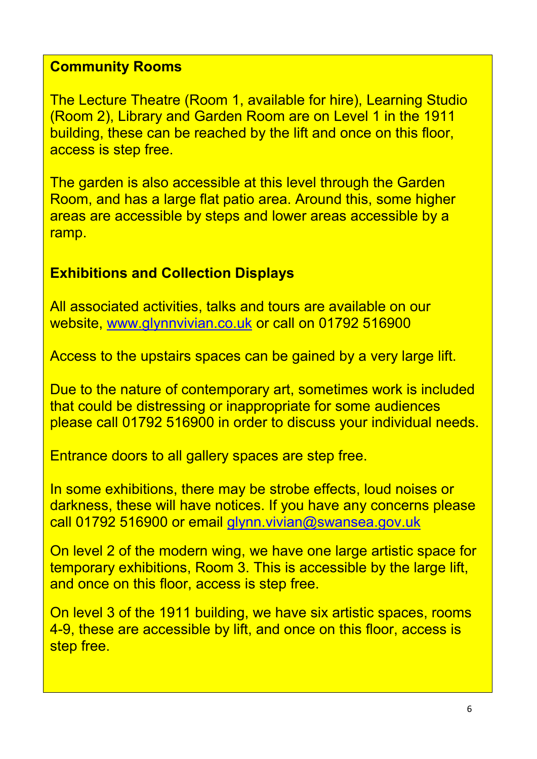## **Community Rooms**

The Lecture Theatre (Room 1, available for hire), Learning Studio (Room 2), Library and Garden Room are on Level 1 in the 1911 building, these can be reached by the lift and once on this floor, access is step free.

The garden is also accessible at this level through the Garden Room, and has a large flat patio area. Around this, some higher areas are accessible by steps and lower areas accessible by a ramp.

## **Exhibitions and Collection Displays**

All associated activities, talks and tours are available on our website, [www.glynnvivian.co.uk](http://www.glynnvivian.co.uk/) or call on 01792 516900

Access to the upstairs spaces can be gained by a very large lift.

Due to the nature of contemporary art, sometimes work is included that could be distressing or inappropriate for some audiences please call 01792 516900 in order to discuss your individual needs.

Entrance doors to all gallery spaces are step free.

In some exhibitions, there may be strobe effects, loud noises or darkness, these will have notices. If you have any concerns please call 01792 516900 or email [glynn.vivian@swansea.gov.uk](mailto:glynn.vivian@swansea.gov.uk)

On level 2 of the modern wing, we have one large artistic space for temporary exhibitions, Room 3. This is accessible by the large lift, and once on this floor, access is step free.

On level 3 of the 1911 building, we have six artistic spaces, rooms 4-9, these are accessible by lift, and once on this floor, access is step free.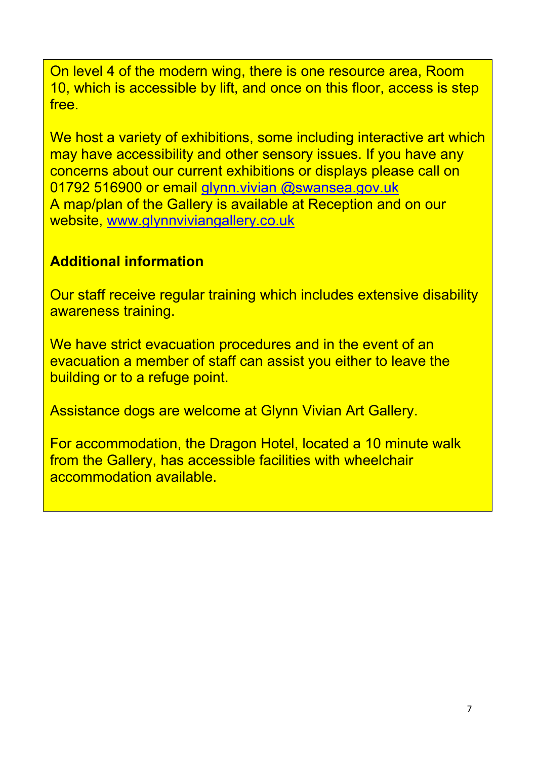On level 4 of the modern wing, there is one resource area, Room free. 10, which is accessible by lift, and once on this floor, access is step

We host a variety of exhibitions, some including interactive art which may have accessibility and other sensory issues. If you have any concerns about our current exhibitions or displays please call on 01792 516900 or email [glynn.vivian @swansea.gov.uk](mailto:glynn.vivian.gallery@swansea.gov.uk) A map/plan of the Gallery is available at Reception and on our website, [www.glynnviviangallery.co.uk](http://www.glynnviviangallery.co.uk/)

## **Additional information**

Our staff receive regular training which includes extensive disability awareness training.

We have strict evacuation procedures and in the event of an evacuation a member of staff can assist you either to leave the building or to a refuge point.

Assistance dogs are welcome at Glynn Vivian Art Gallery.

For accommodation, the Dragon Hotel, located a 10 minute walk from the Gallery, has accessible facilities with wheelchair accommodation available.